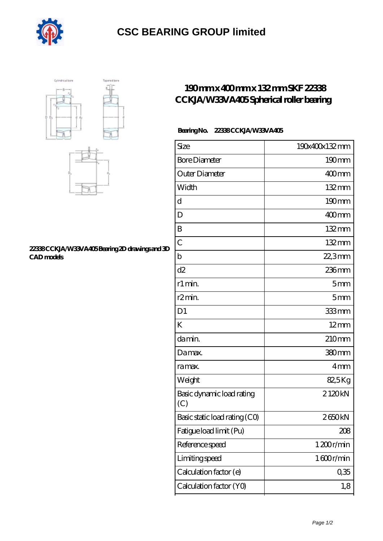

## **[CSC BEARING GROUP limited](https://m.augustinusga.com)**





#### **[22338 CCKJA/W33VA405 Bearing 2D drawings and 3D](https://m.augustinusga.com/pic-65110453.html) [CAD models](https://m.augustinusga.com/pic-65110453.html)**

## **[190 mm x 400 mm x 132 mm SKF 22338](https://m.augustinusga.com/skf-22338-cckja-w33va405-bearing/) [CCKJA/W33VA405 Spherical roller bearing](https://m.augustinusga.com/skf-22338-cckja-w33va405-bearing/)**

### **Bearing No. 22338 CCKJA/W33VA405**

| Size                             | 190x400x132mm       |
|----------------------------------|---------------------|
| <b>Bore Diameter</b>             | 190mm               |
| Outer Diameter                   | $400$ <sub>mm</sub> |
| Width                            | 132mm               |
| d                                | $190 \text{mm}$     |
| D                                | $400$ mm            |
| B                                | $132 \,\mathrm{mm}$ |
| $\overline{C}$                   | 132mm               |
| b                                | 22,3mm              |
| d2                               | $236$ mm            |
| r1 min.                          | 5mm                 |
| r2min.                           | 5mm                 |
| D <sub>1</sub>                   | 333mm               |
| K                                | $12 \text{mm}$      |
| da min.                          | 210mm               |
| Damax.                           | 380mm               |
| ra max.                          | 4 <sub>mm</sub>     |
| Weight                           | 82,5Kg              |
| Basic dynamic load rating<br>(C) | 2120kN              |
| Basic static load rating (CO)    | 2650kN              |
| Fatigue load limit (Pu)          | 208                 |
| Reference speed                  | 1200r/min           |
| Limiting speed                   | 1600r/min           |
| Calculation factor (e)           | 0,35                |
| Calculation factor (YO)          | 1,8                 |